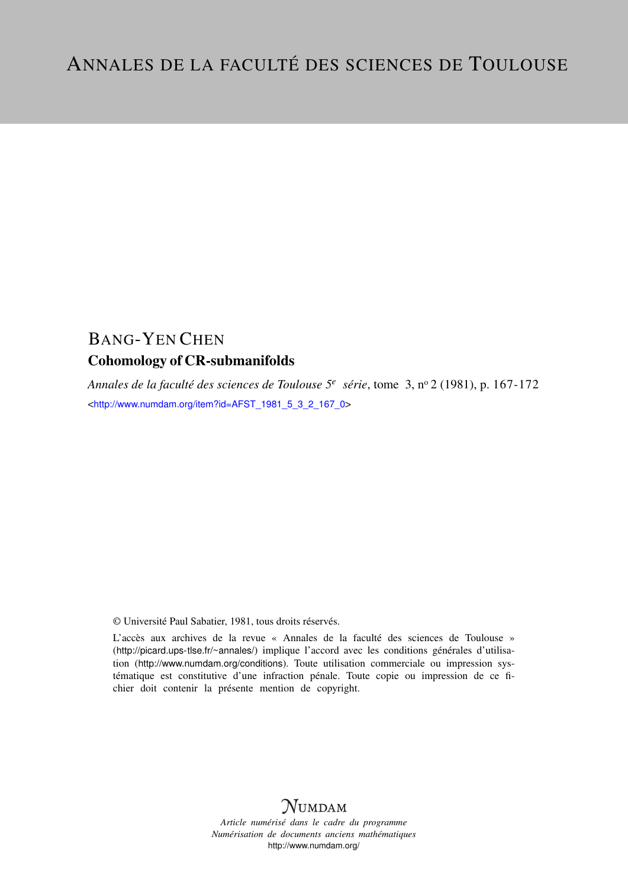# BANG-YEN CHEN

## Cohomology of CR-submanifolds

*Annales de la faculté des sciences de Toulouse 5<sup>e</sup> série*, tome 3, n<sup>o</sup> 2 (1981), p. 167-172 <[http://www.numdam.org/item?id=AFST\\_1981\\_5\\_3\\_2\\_167\\_0](http://www.numdam.org/item?id=AFST_1981_5_3_2_167_0)>

© Université Paul Sabatier, 1981, tous droits réservés.

L'accès aux archives de la revue « Annales de la faculté des sciences de Toulouse » (<http://picard.ups-tlse.fr/~annales/>) implique l'accord avec les conditions générales d'utilisation (<http://www.numdam.org/conditions>). Toute utilisation commerciale ou impression systématique est constitutive d'une infraction pénale. Toute copie ou impression de ce fichier doit contenir la présente mention de copyright.



*Article numérisé dans le cadre du programme Numérisation de documents anciens mathématiques* <http://www.numdam.org/>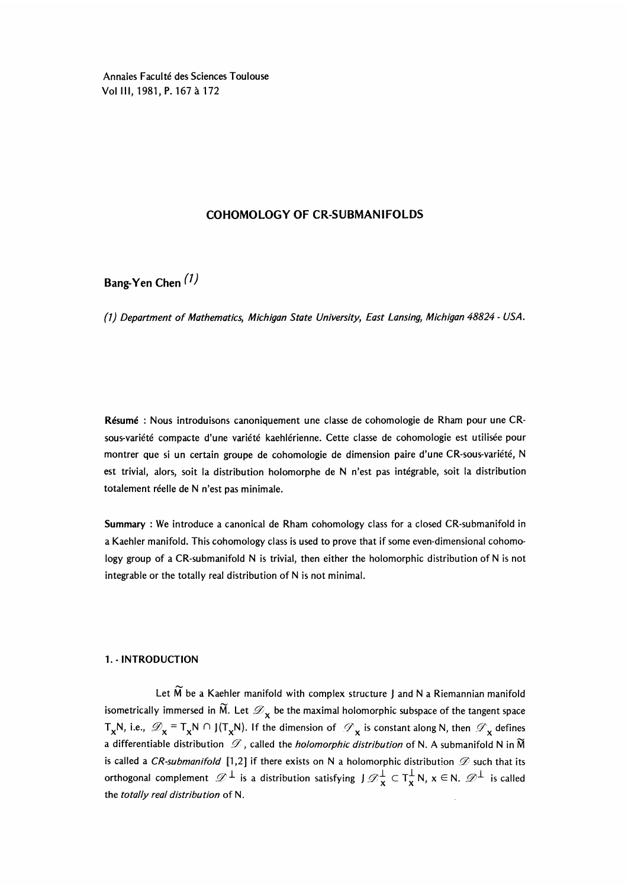Annales Faculté des Sciences Toulouse Vol III, 1981, P. 167 à 172

## COHOMOLOGY OF CR-SUBMANIFOLDS

Bang-Yen Chen<sup>(1)</sup>

(1) Department of Mathematics, Michigan State University, East Lansing, Michigan 48824 - USA.

Resume : Nous introduisons canoniquement une classe de cohomologie de Rham pour une CRsous-variete compacte d'une variété kaehlérienne. Cette classe de cohomologie est utilisée pour montrer que si un certain groupe de cohomologie de dimension paire d'une CR-sous-variété, N est trivial, alors, soit la distribution holomorphe de N n'est pas intégrable, soit la distribution totalement réelle de N n'est pas minimale.

Summary : We introduce a canonical de Rham cohomology class for a closed CR-submanifold in a Kaehler manifold. This cohomology class is used to prove that if some even-dimensional cohomology group of a CR-submanifold N is trivial, then either the holomorphic distribution of N is not integrable or the totally real distribution of N is not minimal.

#### 1. - INTRODUCTION

Let  $\widetilde{M}$  be a Kaehler manifold with complex structure J and N a Riemannian manifold isometrically immersed in  $\widetilde{M}$ . Let  $\mathcal{D}_{\mathbf{x}}$  be the maximal holomorphic subspace of the tangent space  $T_xN$ , i.e.,  $\mathscr{D}_x = T_xN \cap J(T_xN)$ . If the dimension of  $\mathscr{D}_x$  is constant along N, then  $\mathscr{D}_x$  defines a differentiable distribution  $\mathscr D$ , called the *holomorphic distribution* of N. A submanifold N in  $\widetilde M$ is called a CR-submanifold [1,2] if there exists on N a holomorphic distribution  $\mathscr D$  such that its orthogonal complement  $\mathscr{D}^\perp$  is a distribution satisfying J  $\mathscr{D}^\perp_\mathbf{X} \subset \mathsf{T}^\perp_\mathbf{X} \mathsf{N},$   $\mathsf{x} \in \mathsf{N}.$   $\mathscr{D}^\perp$  is called isometrically immersed in  $\widetilde{M}$ . Let  $\mathcal{D}_X$  be the maximal holomorphic subspace of t<br>  $T_XN$ , i.e.,  $\mathcal{D}_X = T_XN \cap J(T_XN)$ . If the dimension of  $\mathcal{D}_X$  is constant along N, t<br>
a differentiable distribution  $\mathcal{D}$ ,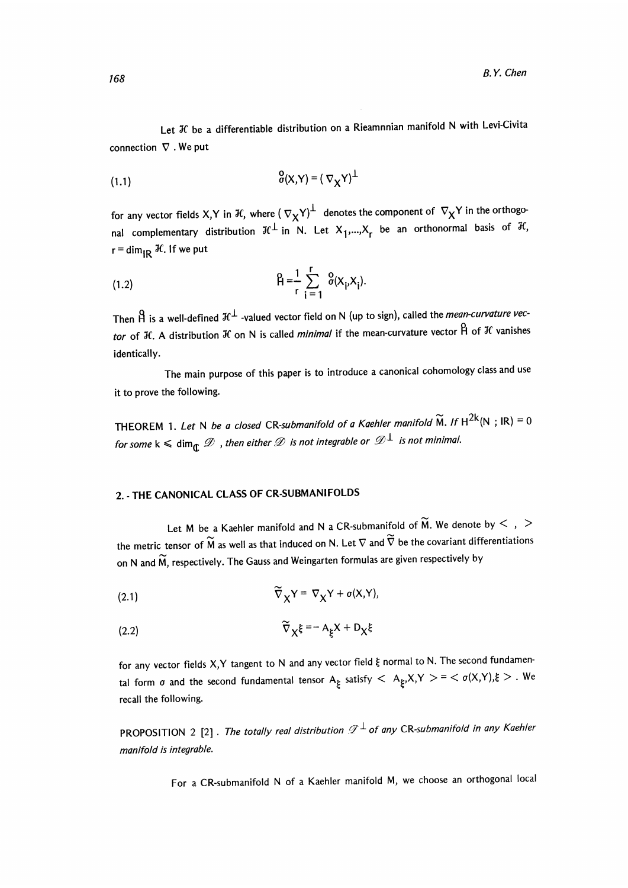Let  $K$  be a differentiable distribution on a Rieamnnian manifold N with Levi-Civita connection  $\nabla$ . We put

for any vector fields X,Y in H, where  $(\nabla_X Y)^{\perp}$  denotes the component of  $\nabla_X Y$  in the orthogonal complementary distribution  $\mathcal{H}^{\perp}$  in N. Let  $X_1,...,X_r$  be an orthonormal basis of  $\mathcal{H}$ ,  $r = \dim_{\text{IR}} \mathcal{H}$ . If we put

(1.2) 
$$
\beta = \frac{1}{r} \sum_{i=1}^{r} \delta(x_i, x_i)
$$

Then  $\hat{H}$  is a well-defined  $\mathcal{H}^{\perp}$  -valued vector field on N (up to sign), called the *mean-curvature vec*tor of H. A distribution H on N is called *minimal* if the mean-curvature vector  $\hat{H}$  of H vanishes identically.

The main purpose of this paper is to introduce a canonical cohomology class and use it to prove the following.

THEOREM 1. Let N be a closed CR-submanifold of a Kaehler manifold  $\widetilde{M}$ . If  $H^{2k}(N; IR) = 0$ for some k  $\leqslant$  dim $_{\mathbb{C}}$   $\mathscr{D}$  , then either  $\mathscr{D}$  is not integrable or  $\mathscr{D}^{\perp}$  is not minimal.

## 2. - THE CANONICAL CLASS OF CR-SUBMANIFOLDS

Let M be a Kaehler manifold and N a CR-submanifold of  $\widetilde{M}$ . We denote by  $\leq$ ,  $>$ the metric tensor of  $\widetilde{M}$  as well as that induced on N. Let  $\nabla$  and  $\widetilde{\nabla}$  be the covariant differentiations on N and  $\widetilde{M}$ , respectively. The Gauss and Weingarten formulas are given respectively by

(2.1) 
$$
\widetilde{\nabla}_X Y = \nabla_X Y + \sigma(X, Y),
$$

$$
\widetilde{\nabla}_{\chi}\xi = -A_{\xi}X + D_{\chi}\xi
$$

for any vector fields X,Y tangent to N and any vector field  $\xi$  normal to N. The second fundamental form  $\sigma$  and the second fundamental tensor  $A_{\xi}$  satisfy  $\langle A_{\xi},X,Y \rangle = \langle \sigma(X,Y),\xi \rangle$ . We recall the following.

PROPOSITION 2 [2]. The totally real distribution  $\mathscr{D}^{\perp}$  of any CR-submanifold in any Kaehler manifold is integrable.

For a CR-submanifold N of a Kaehler manifold M, we choose an orthogonal local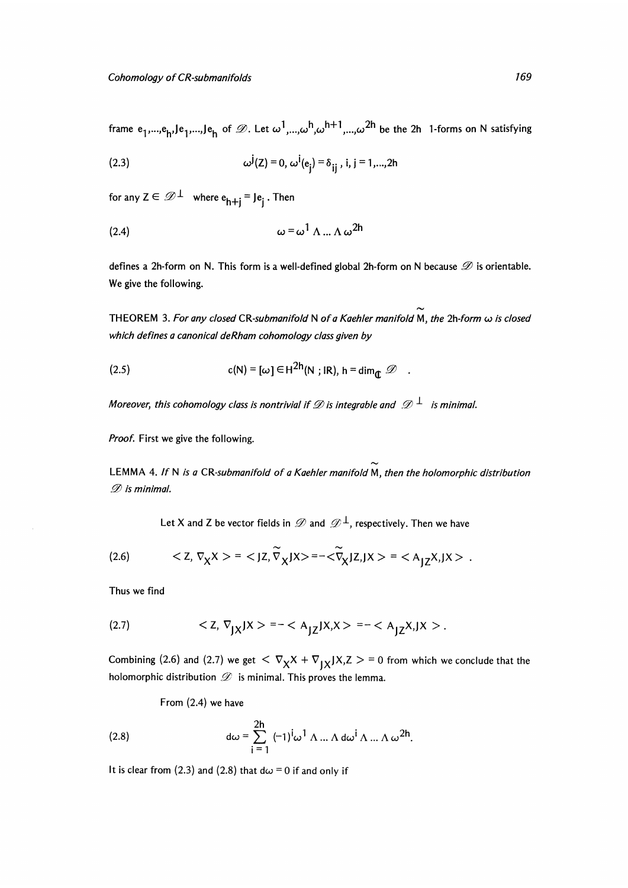frame  $e_1,...,e_h$ ,  $Je_1,...,Je_h$  of  $\mathcal{D}$ . Let  $\omega^1,...,\omega^h,\omega^{h+1},...\omega^{2h}$  be the 2h 1-forms on N satisfying

(2.3) 
$$
\omega^{j}(z) = 0, \omega^{i}(e_{j}) = \delta_{ij}, i, j = 1,...,2h
$$

for any  $Z \in \mathscr{D}^{\perp}$  where  $e_{h+1} = Je_i$ . Then

$$
\omega = \omega^1 \wedge ... \wedge \omega^{2h}
$$

defines a 2h-form on N. This form is a well-defined global 2h-form on N because  $\mathscr D$  is orientable. We give the following.

THEOREM 3. For any closed CR-submanifold N of a Kaehler manifold M, the  $2h$ -form  $\omega$  is closed which defines a canonical deRham cohomology class given by

(2.5) 
$$
c(N) = [\omega] \in H^{2h}(N; IR), h = \dim_{\mathbf{f}} \mathcal{D}
$$

Moreover, this cohomology class is nontrivial if  $\mathscr D$  is integrable and  $\mathscr D^{\perp}$  is minimal.

Proof. First we give the following.

LEMMA 4. If N is a CR-submanifold of a Kaehler manifold M, then the holomorphic distribution  $D$  is minimal.

Let X and Z be vector fields in  $\mathscr{D}$  and  $\mathscr{D}^{\perp}$ , respectively. Then we have

(2.6) 
$$
\langle Z, \nabla_X X \rangle = \langle JZ, \widetilde{\nabla}_X JX \rangle = -\langle \widetilde{\nabla}_X JZ, JX \rangle = \langle A_{JZ} X, JX \rangle.
$$

Thus we find

(2.7) 
$$
\langle Z, \nabla_{JX} JX \rangle = - \langle A_{JZ} JX, X \rangle = - \langle A_{JZ} X, JX \rangle.
$$

Combining (2.6) and (2.7) we get  $\langle \nabla_{\mathbf{X}} \chi + \nabla_{\mathbf{X}} \chi \chi \rangle = 0$  from which we conclude that the holomorphic distribution  $\mathscr D$  is minimal. This proves the lemma.

From (2.4) we have

(2.8) 
$$
d\omega = \sum_{i=1}^{2h} (-1)^{i} \omega^{1} \Lambda ... \Lambda d\omega^{i} \Lambda ... \Lambda \omega^{2h}.
$$

It is clear from (2.3) and (2.8) that  $d\omega = 0$  if and only if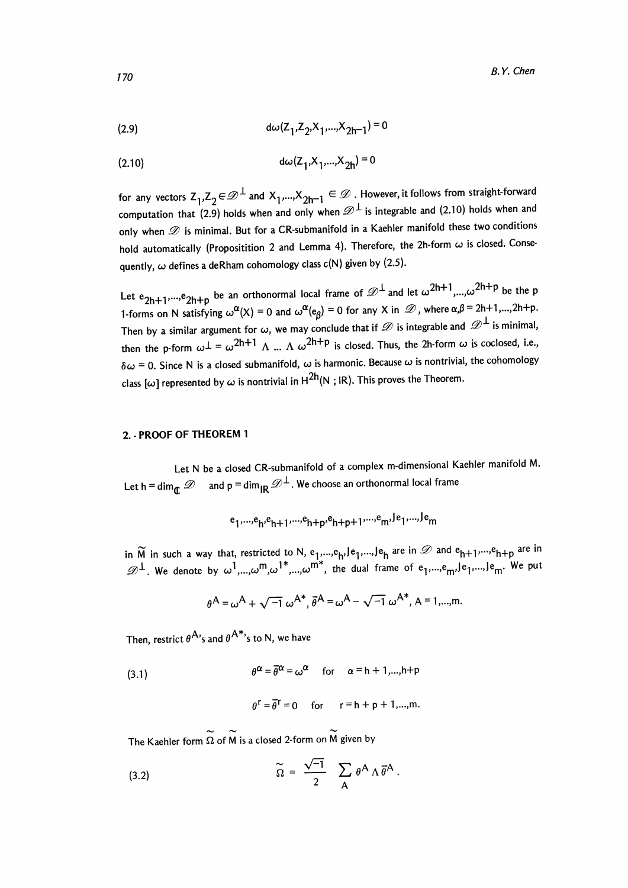(2.9) 
$$
d\omega(Z_1, Z_2, X_1, ..., X_{2h-1}) = 0
$$

$$
d\omega(Z_1, X_1, ..., X_{2h}) = 0
$$

for any vectors  $Z_1, Z_2 \in \mathcal{D}^{\perp}$  and  $X_1,...,X_{2h-1} \in \mathcal{D}$  . However, it follows from straight-forward computation that (2.9) holds when and only when  $\mathscr{D}^{\perp}$  is integrable and (2.10) holds when and only when  $\mathscr D$  is minimal. But for a CR-submanifold in a Kaehler manifold these two conditions hold automatically (Propositition 2 and Lemma 4). Therefore, the 2h-form  $\omega$  is closed. Consequently,  $\omega$  defines a deRham cohomology class c(N) given by (2.5).

Let  $e_{2h+1},...,e_{2h+p}$  be an orthonormal local frame of  $\mathscr{D}^{\perp}$  and let  $\omega^{2h+1},...,\omega^{2h+p}$  be the p 1-forms on N satisfying  $\omega^{\alpha}(X) = 0$  and  $\omega^{\alpha}(e_{\beta}) = 0$  for any X in  $\mathcal{D}$ , where  $\alpha, \beta = 2h+1,...,2h+p$ . Then by a similar argument for  $\omega$ , we may conclude that if  $\mathscr D$  is integrable and  $\mathscr D^{\perp}$  is minimal, then the p-form  $\omega^{\perp} = \omega^{2h+1} \Lambda$  ...  $\Lambda \omega^{2h+p}$  is closed. Thus, the 2h-form  $\omega$  is coclosed, i.e.,  $\delta\omega = 0$ . Since N is a closed submanifold,  $\omega$  is harmonic. Because  $\omega$  is nontrivial, the cohomology class [ $\omega$ ] represented by  $\omega$  is nontrivial in  $H^{2h}(N; IR)$ . This proves the Theorem.

#### 2. PROOF OF THEOREM 1

Let N be a closed CR-submanifold of a complex m-dimensional Kaehler manifold M. Let h = dim<sub> $\int_{\mathbb{C}} \mathcal{D}$  and p = dim<sub>IR</sub>  $\mathcal{D}^{\perp}$ . We choose an orthonormal local frame</sub>

$$
e_1, \ldots, e_h, e_{h+1}, \ldots, e_{h+p}, e_{h+p+1}, \ldots, e_m, e_1, \ldots, e_m
$$

in  $\widetilde{M}$  in such a way that, restricted to N, e<sub>1</sub>,...,e<sub>h</sub>,Je<sub>1</sub>,...,Je<sub>h</sub> are in  $\mathscr{D}$  and e<sub>h+1</sub>,...,e<sub>h+p</sub> are in  $\mathscr{D}^{\perp}$ . We denote by  $\omega^{1},...,\omega^{\mathsf{m}},\omega^{1*},...,\omega^{\mathsf{m}*}$ , the dual frame of  $\mathsf{e}_{1},...,\mathsf{e}_{\mathsf{m}'},\mathsf{le}_{1},...,\mathsf{le}_{\mathsf{m}'}.$  We put

$$
\theta^{\mathsf{A}} = \omega^{\mathsf{A}} + \sqrt{-1} \ \omega^{\mathsf{A}^*}, \overline{\theta}^{\mathsf{A}} = \omega^{\mathsf{A}} - \sqrt{-1} \ \omega^{\mathsf{A}^*}, \mathsf{A} = 1, ..., \mathsf{m}.
$$

Then, restrict  $\theta^{A}$ 's and  $\theta^{A*}$ 's to N, we have

(3.1) 
$$
\theta^{\alpha} = \overline{\theta}^{\alpha} = \omega^{\alpha} \quad \text{for} \quad \alpha = h + 1,...,h+p
$$

$$
\theta^r = \overline{\theta}^r = 0 \quad \text{for} \quad r = h + p + 1, ..., m.
$$

The Kaehler form  $\Omega$  of M is a closed 2-form on M given by

(3.2) 
$$
\widetilde{\Omega} = \frac{\sqrt{-1}}{2} \sum_{\mathsf{A}} \theta^{\mathsf{A}} \Lambda \overline{\theta}^{\mathsf{A}}.
$$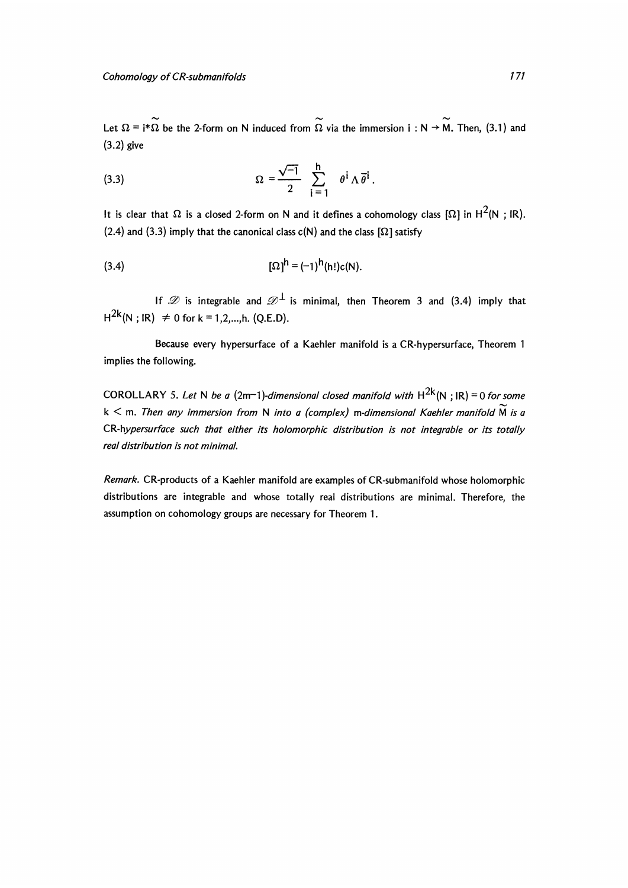Let  $\Omega = i^*\Omega$  be the 2-form on N induced from  $\Omega$  via the immersion  $i : N \to M$ . Then, (3.1) and (3.2) give

(3.3) 
$$
\Omega = \frac{\sqrt{-1}}{2} \sum_{i=1}^{h} \theta^i \Lambda \overline{\theta}^i.
$$

It is clear that  $\Omega$  is a closed 2-form on N and it defines a cohomology class  $[\Omega]$  in  $H^2(N; IR)$ . (2.4) and (3.3) imply that the canonical class  $c(N)$  and the class  $[\Omega]$  satisfy

$$
[\Omega]^{\mathsf{h}} = (-1)^{\mathsf{h}}(\mathsf{h}!)c(\mathsf{N}).
$$

If  $\mathscr D$  is integrable and  $\mathscr D^{\perp}$  is minimal, then Theorem 3 and (3.4) imply that  $H^{2k}(N : IR) \neq 0$  for  $k = 1, 2, ..., h$ . (Q.E.D).

Because every hypersurface of a Kaehler manifold is a CR-hypersurface, Theorem 1 implies the following.

COROLLARY 5. Let N be a (2m-1)-dimensional closed manifold with  $H^{2k}(N;IR) = 0$  for some  $k < m$ . Then any immersion from N into a (complex) m-dimensional Kaehler manifold  $\widetilde{M}$  is a CR-hypersurface such that either its holomorphic distribution is not integrable or its totally real distribution is not minimal.

Remark. CR-products of a Kaehler manifold are examples of CR-submanifold whose holomorphic distributions are integrable and whose totally real distributions are minimal. Therefore, the assumption on cohomology groups are necessary for Theorem 1.